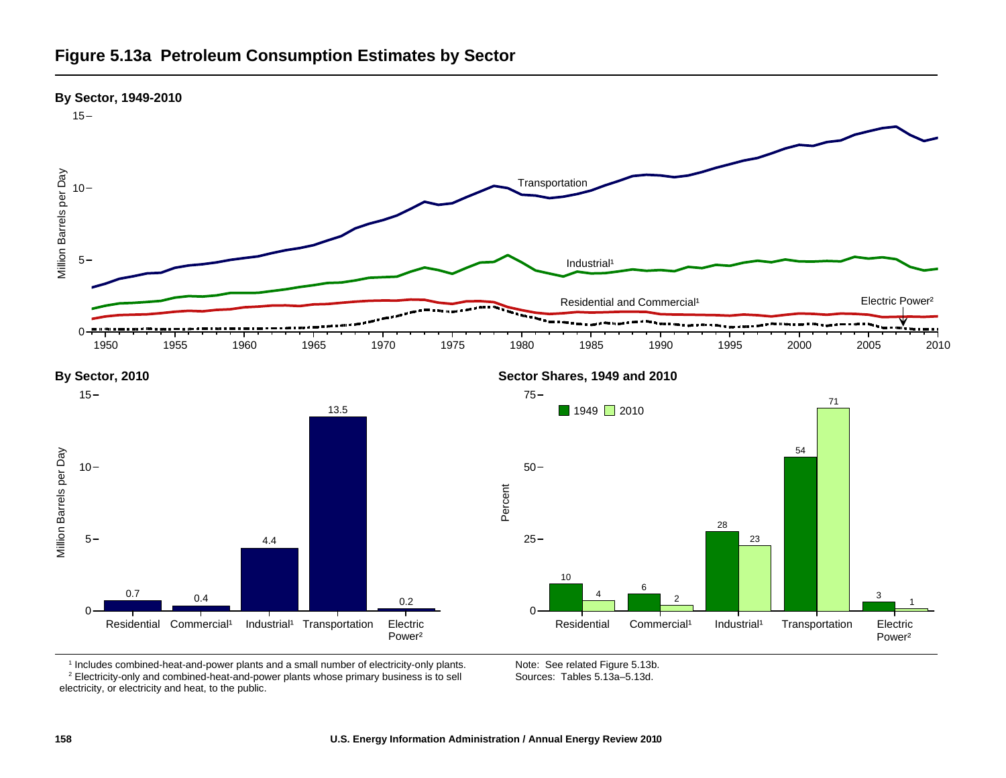



**Figure 5.13a Petroleum Consumption Estimates by Sector**



<sup>1</sup> Includes combined-heat-and-power plants and a small number of electricity-only plants.

2 Electricity-only and combined-heat-and-power plants whose primary business is to sell electricity, or electricity and heat, to the public.

Note: See related Figure 5.13b. Sources: Tables 5.13a–5.13d.